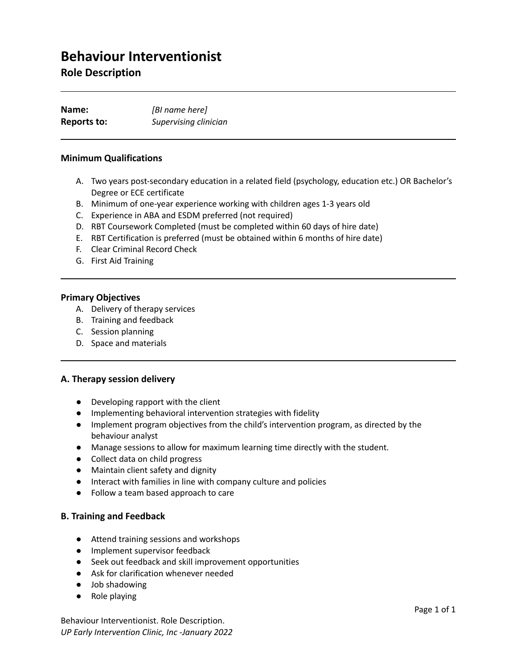# **Behaviour Interventionist**

# **Role Description**

| Name:       | [BI name here]        |
|-------------|-----------------------|
| Reports to: | Supervising clinician |

#### **Minimum Qualifications**

- A. Two years post-secondary education in a related field (psychology, education etc.) OR Bachelor's Degree or ECE certificate
- B. Minimum of one-year experience working with children ages 1-3 years old
- C. Experience in ABA and ESDM preferred (not required)
- D. RBT Coursework Completed (must be completed within 60 days of hire date)
- E. RBT Certification is preferred (must be obtained within 6 months of hire date)
- F. Clear Criminal Record Check
- G. First Aid Training

#### **Primary Objectives**

- A. Delivery of therapy services
- B. Training and feedback
- C. Session planning
- D. Space and materials

#### **A. Therapy session delivery**

- Developing rapport with the client
- Implementing behavioral intervention strategies with fidelity
- Implement program objectives from the child's intervention program, as directed by the behaviour analyst
- Manage sessions to allow for maximum learning time directly with the student.
- Collect data on child progress
- Maintain client safety and dignity
- Interact with families in line with company culture and policies
- Follow a team based approach to care

#### **B. Training and Feedback**

- Attend training sessions and workshops
- Implement supervisor feedback
- Seek out feedback and skill improvement opportunities
- Ask for clarification whenever needed
- Job shadowing
- Role playing

Behaviour Interventionist. Role Description. *UP Early Intervention Clinic, Inc -January 2022*